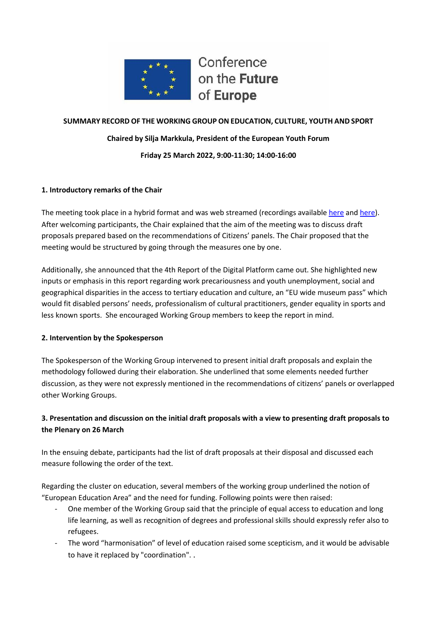

Conference on the Future of Europe

# **SUMMARY RECORD OF THE WORKING GROUP ON EDUCATION, CULTURE, YOUTH AND SPORT Chaired by Silja Markkula, President of the European Youth Forum Friday 25 March 2022, 9:00-11:30; 14:00-16:00**

### **1. Introductory remarks of the Chair**

The meeting took place in a hybrid format and was web streamed (recordings available [here](https://multimedia.europarl.europa.eu/en/webstreaming/conference-on-future-of-europe-workgroup-on-education-culture-youth-and-sport_20220325-0900-SPECIAL-OTHER-1) an[d here\)](https://multimedia.europarl.europa.eu/en/webstreaming/conference-on-future-of-europe-workgroup-on-education-culture-youth-and-sport_20220325-1400-SPECIAL-OTHER-1). After welcoming participants, the Chair explained that the aim of the meeting was to discuss draft proposals prepared based on the recommendations of Citizens' panels. The Chair proposed that the meeting would be structured by going through the measures one by one.

Additionally, she announced that the 4th Report of the Digital Platform came out. She highlighted new inputs or emphasis in this report regarding work precariousness and youth unemployment, social and geographical disparities in the access to tertiary education and culture, an "EU wide museum pass" which would fit disabled persons' needs, professionalism of cultural practitioners, gender equality in sports and less known sports. She encouraged Working Group members to keep the report in mind.

#### **2. Intervention by the Spokesperson**

The Spokesperson of the Working Group intervened to present initial draft proposals and explain the methodology followed during their elaboration. She underlined that some elements needed further discussion, as they were not expressly mentioned in the recommendations of citizens' panels or overlapped other Working Groups.

## **3. Presentation and discussion on the initial draft proposals with a view to presenting draft proposals to the Plenary on 26 March**

In the ensuing debate, participants had the list of draft proposals at their disposal and discussed each measure following the order of the text.

Regarding the cluster on education, several members of the working group underlined the notion of "European Education Area" and the need for funding. Following points were then raised:

- One member of the Working Group said that the principle of equal access to education and long life learning, as well as recognition of degrees and professional skills should expressly refer also to refugees.
- The word "harmonisation" of level of education raised some scepticism, and it would be advisable to have it replaced by "coordination". .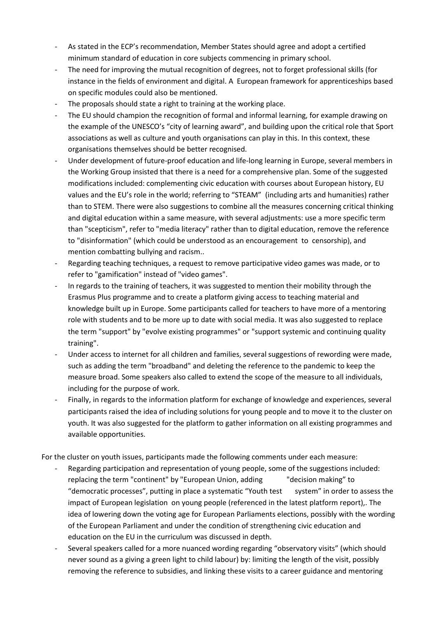- As stated in the ECP's recommendation, Member States should agree and adopt a certified minimum standard of education in core subjects commencing in primary school.
- The need for improving the mutual recognition of degrees, not to forget professional skills (for instance in the fields of environment and digital. A European framework for apprenticeships based on specific modules could also be mentioned.
- The proposals should state a right to training at the working place.
- The EU should champion the recognition of formal and informal learning, for example drawing on the example of the UNESCO's "city of learning award", and building upon the critical role that Sport associations as well as culture and youth organisations can play in this. In this context, these organisations themselves should be better recognised.
- Under development of future-proof education and life-long learning in Europe, several members in the Working Group insisted that there is a need for a comprehensive plan. Some of the suggested modifications included: complementing civic education with courses about European history, EU values and the EU's role in the world; referring to "STEAM" (including arts and humanities) rather than to STEM. There were also suggestions to combine all the measures concerning critical thinking and digital education within a same measure, with several adjustments: use a more specific term than "scepticism", refer to "media literacy" rather than to digital education, remove the reference to "disinformation" (which could be understood as an encouragement to censorship), and mention combatting bullying and racism..
- Regarding teaching techniques, a request to remove participative video games was made, or to refer to "gamification" instead of "video games".
- In regards to the training of teachers, it was suggested to mention their mobility through the Erasmus Plus programme and to create a platform giving access to teaching material and knowledge built up in Europe. Some participants called for teachers to have more of a mentoring role with students and to be more up to date with social media. It was also suggested to replace the term "support" by "evolve existing programmes" or "support systemic and continuing quality training".
- Under access to internet for all children and families, several suggestions of rewording were made, such as adding the term "broadband" and deleting the reference to the pandemic to keep the measure broad. Some speakers also called to extend the scope of the measure to all individuals, including for the purpose of work.
- Finally, in regards to the information platform for exchange of knowledge and experiences, several participants raised the idea of including solutions for young people and to move it to the cluster on youth. It was also suggested for the platform to gather information on all existing programmes and available opportunities.

For the cluster on youth issues, participants made the following comments under each measure:

- Regarding participation and representation of young people, some of the suggestions included: replacing the term "continent" by "European Union, adding "decision making" to "democratic processes", putting in place a systematic "Youth test system" in order to assess the impact of European legislation on young people (referenced in the latest platform report),. The idea of lowering down the voting age for European Parliaments elections, possibly with the wording of the European Parliament and under the condition of strengthening civic education and education on the EU in the curriculum was discussed in depth.
- Several speakers called for a more nuanced wording regarding "observatory visits" (which should never sound as a giving a green light to child labour) by: limiting the length of the visit, possibly removing the reference to subsidies, and linking these visits to a career guidance and mentoring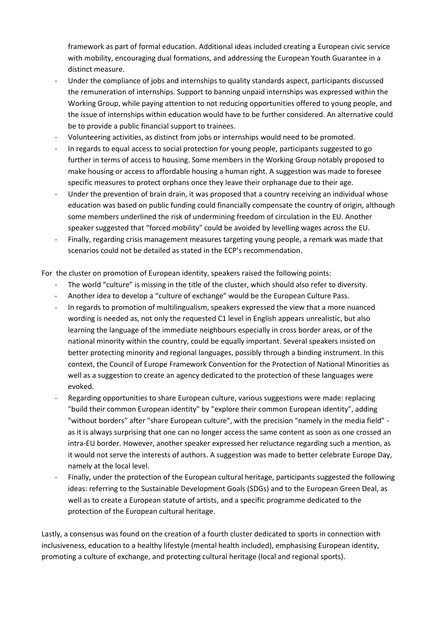framework as part of formal education. Additional ideas included creating a European civic service with mobility, encouraging dual formations, and addressing the European Youth Guarantee in a distinct measure.

- Under the compliance of jobs and internships to quality standards aspect, participants discussed the remuneration of internships. Support to banning unpaid internships was expressed within the Working Group, while paying attention to not reducing opportunities offered to young people, and the issue of internships within education would have to be further considered. An alternative could be to provide a public financial support to trainees.
- Volunteering activities, as distinct from jobs or internships would need to be promoted.
- In regards to equal access to social protection for young people, participants suggested to go further in terms of access to housing. Some members in the Working Group notably proposed to make housing or access to affordable housing a human right. A suggestion was made to foresee specific measures to protect orphans once they leave their orphanage due to their age.
- Under the prevention of brain drain, it was proposed that a country receiving an individual whose education was based on public funding could financially compensate the country of origin, although some members underlined the risk of undermining freedom of circulation in the EU. Another speaker suggested that "forced mobility" could be avoided by levelling wages across the EU.
- Finally, regarding crisis management measures targeting young people, a remark was made that scenarios could not be detailed as stated in the ECP's recommendation.

For the cluster on promotion of European identity, speakers raised the following points:

- The world "culture" is missing in the title of the cluster, which should also refer to diversity.
- Another idea to develop a "culture of exchange" would be the European Culture Pass.
- In regards to promotion of multilingualism, speakers expressed the view that a more nuanced wording is needed as, not only the requested C1 level in English appears unrealistic, but also learning the language of the immediate neighbours especially in cross border areas, or of the national minority within the country, could be equally important. Several speakers insisted on better protecting minority and regional languages, possibly through a binding instrument. In this context, the Council of Europe Framework Convention for the Protection of National Minorities as well as a suggestion to create an agency dedicated to the protection of these languages were evoked.
- Regarding opportunities to share European culture, various suggestions were made: replacing "build their common European identity" by "explore their common European identity", adding "without borders" after "share European culture", with the precision "namely in the media field" as it is always surprising that one can no longer access the same content as soon as one crossed an intra-EU border. However, another speaker expressed her reluctance regarding such a mention, as it would not serve the interests of authors. A suggestion was made to better celebrate Europe Day, namely at the local level.
- Finally, under the protection of the European cultural heritage, participants suggested the following ideas: referring to the Sustainable Development Goals (SDGs) and to the European Green Deal, as well as to create a European statute of artists, and a specific programme dedicated to the protection of the European cultural heritage.

Lastly, a consensus was found on the creation of a fourth cluster dedicated to sports in connection with inclusiveness, education to a healthy lifestyle (mental health included), emphasising European identity, promoting a culture of exchange, and protecting cultural heritage (local and regional sports).